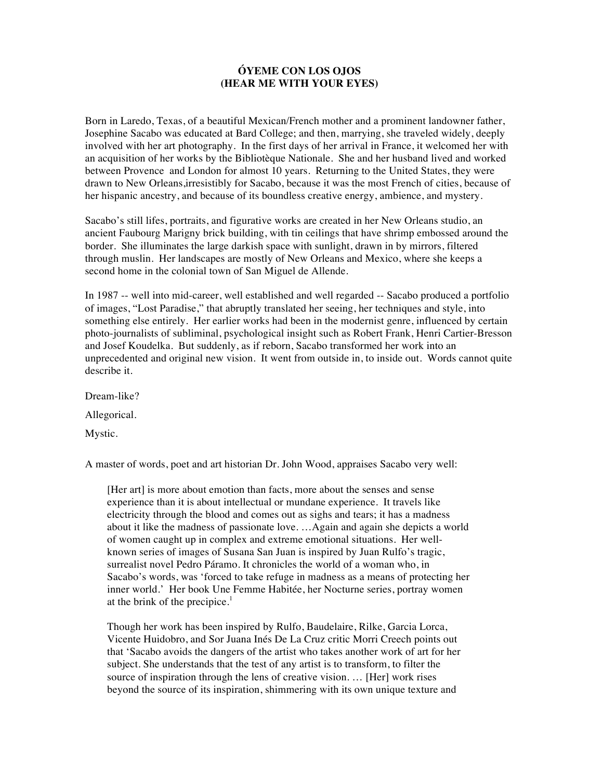## **ÓYEME CON LOS OJOS (HEAR ME WITH YOUR EYES)**

Born in Laredo, Texas, of a beautiful Mexican/French mother and a prominent landowner father, Josephine Sacabo was educated at Bard College; and then, marrying, she traveled widely, deeply involved with her art photography. In the first days of her arrival in France, it welcomed her with an acquisition of her works by the Bibliotèque Nationale. She and her husband lived and worked between Provence and London for almost 10 years. Returning to the United States, they were drawn to New Orleans,irresistibly for Sacabo, because it was the most French of cities, because of her hispanic ancestry, and because of its boundless creative energy, ambience, and mystery.

Sacabo's still lifes, portraits, and figurative works are created in her New Orleans studio, an ancient Faubourg Marigny brick building, with tin ceilings that have shrimp embossed around the border. She illuminates the large darkish space with sunlight, drawn in by mirrors, filtered through muslin. Her landscapes are mostly of New Orleans and Mexico, where she keeps a second home in the colonial town of San Miguel de Allende.

In 1987 -- well into mid-career, well established and well regarded -- Sacabo produced a portfolio of images, "Lost Paradise," that abruptly translated her seeing, her techniques and style, into something else entirely. Her earlier works had been in the modernist genre, influenced by certain photo-journalists of subliminal, psychological insight such as Robert Frank, Henri Cartier-Bresson and Josef Koudelka. But suddenly, as if reborn, Sacabo transformed her work into an unprecedented and original new vision. It went from outside in, to inside out. Words cannot quite describe it.

Dream-like? Allegorical. Mystic.

A master of words, poet and art historian Dr. John Wood, appraises Sacabo very well:

[Her art] is more about emotion than facts, more about the senses and sense experience than it is about intellectual or mundane experience. It travels like electricity through the blood and comes out as sighs and tears; it has a madness about it like the madness of passionate love. …Again and again she depicts a world of women caught up in complex and extreme emotional situations. Her wellknown series of images of Susana San Juan is inspired by Juan Rulfo's tragic, surrealist novel Pedro Páramo. It chronicles the world of a woman who, in Sacabo's words, was 'forced to take refuge in madness as a means of protecting her inner world.' Her book Une Femme Habitée, her Nocturne series, portray women at the brink of the precipice.<sup>1</sup>

Though her work has been inspired by Rulfo, Baudelaire, Rilke, Garcia Lorca, Vicente Huidobro, and Sor Juana Inés De La Cruz critic Morri Creech points out that 'Sacabo avoids the dangers of the artist who takes another work of art for her subject. She understands that the test of any artist is to transform, to filter the source of inspiration through the lens of creative vision. … [Her] work rises beyond the source of its inspiration, shimmering with its own unique texture and